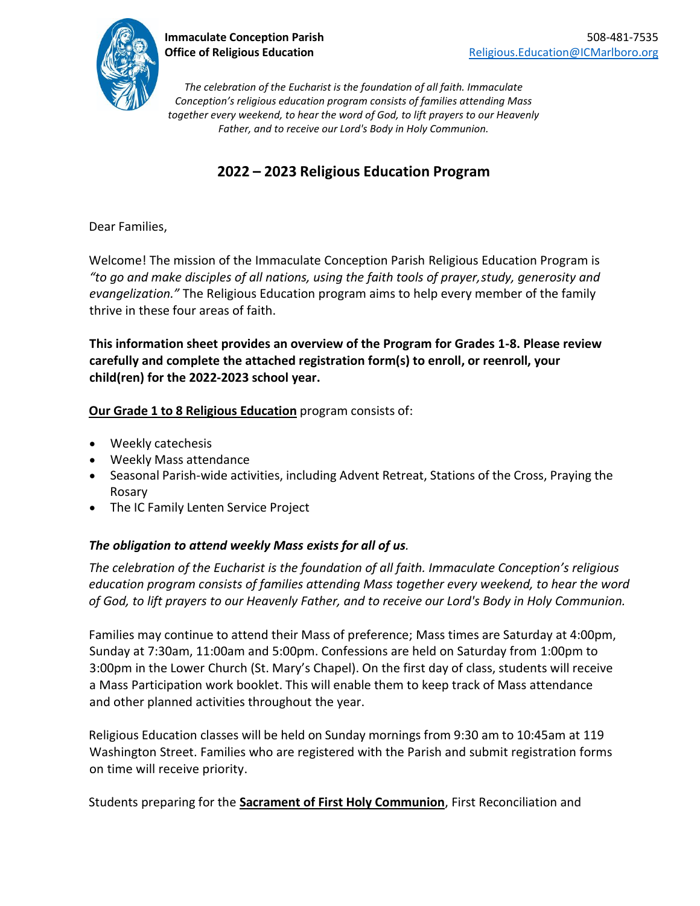

*The celebration of the Eucharist is the foundation of all faith. Immaculate Conception's religious education program consists of families attending Mass together every weekend, to hear the word of God, to lift prayers to our Heavenly Father, and to receive our Lord's Body in Holy Communion.*

# **2022 – 2023 Religious Education Program**

Dear Families,

Welcome! The mission of the Immaculate Conception Parish Religious Education Program is *"to go and make disciples of all nations, using the faith tools of prayer,study, generosity and evangelization."* The Religious Education program aims to help every member of the family thrive in these four areas of faith.

**This information sheet provides an overview of the Program for Grades 1-8. Please review carefully and complete the attached registration form(s) to enroll, or reenroll, your child(ren) for the 2022-2023 school year.**

## **Our Grade 1 to 8 Religious Education** program consists of:

- Weekly catechesis
- Weekly Mass attendance
- Seasonal Parish-wide activities, including Advent Retreat, Stations of the Cross, Praying the Rosary
- The IC Family Lenten Service Project

## *The obligation to attend weekly Mass exists for all of us.*

*The celebration of the Eucharist is the foundation of all faith. Immaculate Conception's religious education program consists of families attending Mass together every weekend, to hear the word of God, to lift prayers to our Heavenly Father, and to receive our Lord's Body in Holy Communion.*

Families may continue to attend their Mass of preference; Mass times are Saturday at 4:00pm, Sunday at 7:30am, 11:00am and 5:00pm. Confessions are held on Saturday from 1:00pm to 3:00pm in the Lower Church (St. Mary's Chapel). On the first day of class, students will receive a Mass Participation work booklet. This will enable them to keep track of Mass attendance and other planned activities throughout the year.

Religious Education classes will be held on Sunday mornings from 9:30 am to 10:45am at 119 Washington Street. Families who are registered with the Parish and submit registration forms on time will receive priority.

Students preparing for the **Sacrament of First Holy Communion**, First Reconciliation and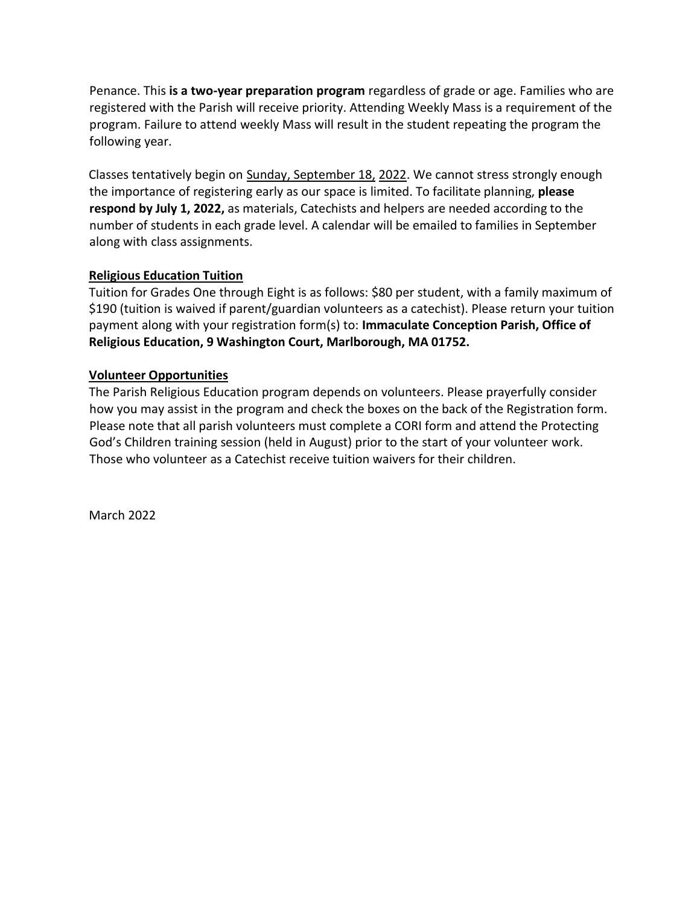Penance. This **is a two-year preparation program** regardless of grade or age. Families who are registered with the Parish will receive priority. Attending Weekly Mass is a requirement of the program. Failure to attend weekly Mass will result in the student repeating the program the following year.

Classes tentatively begin on Sunday, September 18, 2022. We cannot stress strongly enough the importance of registering early as our space is limited. To facilitate planning, **please respond by July 1, 2022,** as materials, Catechists and helpers are needed according to the number of students in each grade level. A calendar will be emailed to families in September along with class assignments.

### **Religious Education Tuition**

Tuition for Grades One through Eight is as follows: \$80 per student, with a family maximum of \$190 (tuition is waived if parent/guardian volunteers as a catechist). Please return your tuition payment along with your registration form(s) to: **Immaculate Conception Parish, Office of Religious Education, 9 Washington Court, Marlborough, MA 01752.**

#### **Volunteer Opportunities**

The Parish Religious Education program depends on volunteers. Please prayerfully consider how you may assist in the program and check the boxes on the back of the Registration form. Please note that all parish volunteers must complete a CORI form and attend the Protecting God's Children training session (held in August) prior to the start of your volunteer work. Those who volunteer as a Catechist receive tuition waivers for their children.

March 2022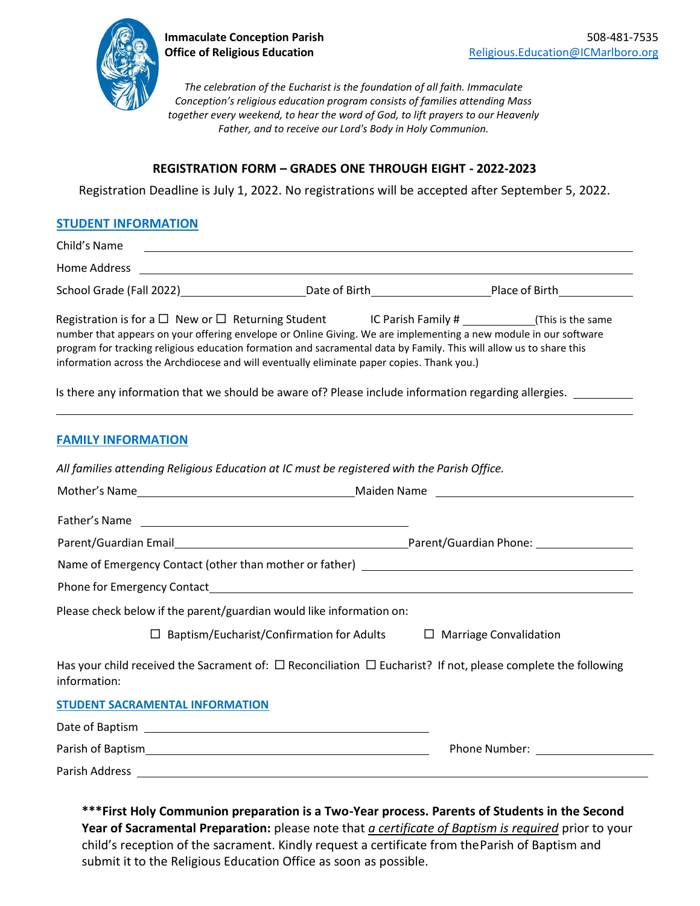

*The celebration of the Eucharist is the foundation of all faith. Immaculate Conception's religious education program consists of families attending Mass together every weekend, to hear the word of God, to lift prayers to our Heavenly Father, and to receive our Lord's Body in Holy Communion.*

#### **REGISTRATION FORM – GRADES ONE THROUGH EIGHT - 2022-2023**

Registration Deadline is July 1, 2022. No registrations will be accepted after September 5, 2022.

#### **STUDENT INFORMATION**

Child's Name Home Address School Grade (Fall 2022) Date of Birth Place of Birth Place of Birth Place of Birth Place of Birth Place of Birth Place of Birth Place of Birth Place of Birth Place of Birth Place of Birth Place of Birth Place of Birth Pla Registration is for a  $\Box$  New or  $\Box$  Returning Student IC Parish Family # (This is the same number that appears on your offering envelope or Online Giving. We are implementing a new module in our software program for tracking religious education formation and sacramental data by Family. This will allow us to share this information across the Archdiocese and will eventually eliminate paper copies. Thank you.) Is there any information that we should be aware of? Please include information regarding allergies. **FAMILY INFORMATION** *All families attending Religious Education at IC must be registered with the Parish Office.* Mother's Name Maiden Name Maiden Name

Father's Name Parent/Guardian Email Parent/Guardian Phone:

Name of Emergency Contact (other than mother or father)

Phone for Emergency Contact<br>
<u>Phone for Emergency</u> Contact

Please check below if the parent/guardian would like information on:

 $\Box$  Baptism/Eucharist/Confirmation for Adults  $\Box$  Marriage Convalidation

Has your child received the Sacrament of:  $\Box$  Reconciliation  $\Box$  Eucharist? If not, please complete the following information:

**STUDENT SACRAMENTAL INFORMATION**

Date of Baptism Parish of Baptism Phone Number: Parish Address

**\*\*\*First Holy Communion preparation is a Two-Year process. Parents of Students in the Second Year of Sacramental Preparation:** please note that *a certificate of Baptism is required* prior to your child's reception of the sacrament. Kindly request a certificate from theParish of Baptism and submit it to the Religious Education Office as soon as possible.